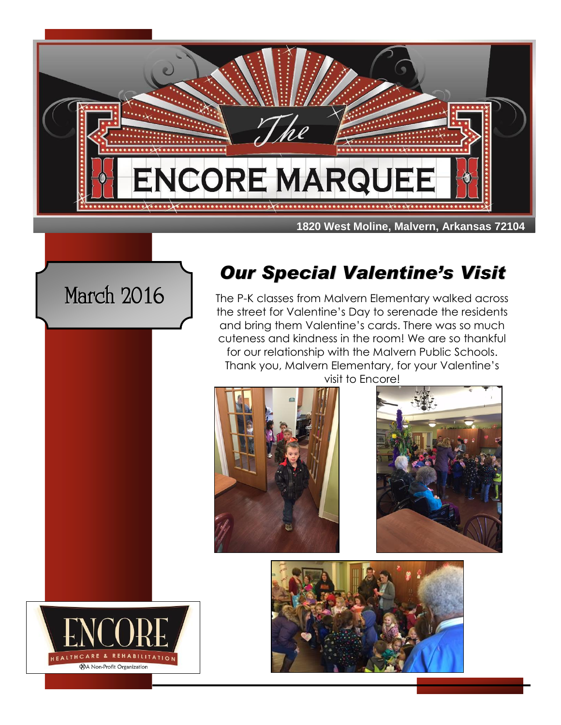



# *Our Special Valentine's Visit*

The P-K classes from Malvern Elementary walked across the street for Valentine's Day to serenade the residents and bring them Valentine's cards. There was so much cuteness and kindness in the room! We are so thankful for our relationship with the Malvern Public Schools. Thank you, Malvern Elementary, for your Valentine's visit to Encore!







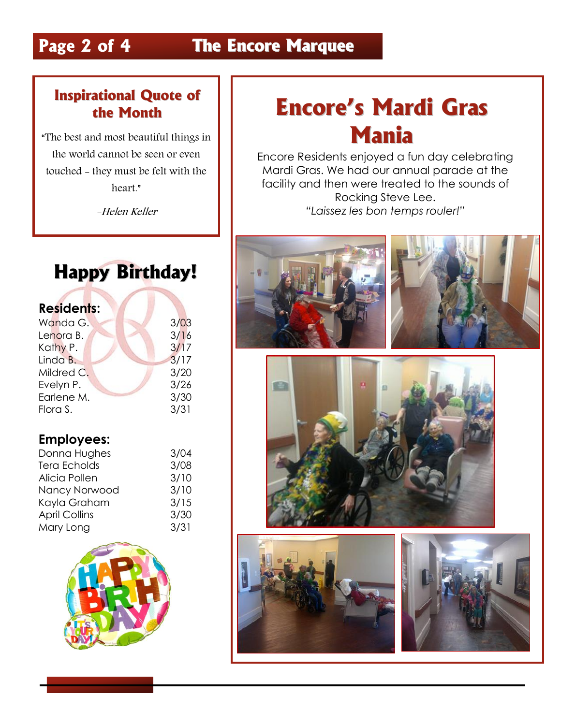## **Page 2 of 4 The Encore Marquee**

#### **Inspirational Quote of the Month**

"The best and most beautiful things in the world cannot be seen or even touched - they must be felt with the heart."

-Helen Keller

 $\overline{a}$ 

#### $h_{\text{max}}$   $h_{\text{max}}$ **Happy Birthday!**

| 3/03 |
|------|
| 3/16 |
| 3/17 |
| 3/17 |
| 3/20 |
| 3/26 |
| 3/30 |
| 3/31 |
|      |

#### **Employees:**

| Donna Hughes         | 3/04 |
|----------------------|------|
| <b>Tera Echolds</b>  | 3/08 |
| Alicia Pollen        | 3/10 |
| Nancy Norwood        | 3/10 |
| Kayla Graham         | 3/15 |
| <b>April Collins</b> | 3/30 |
| Mary Long            | 3/31 |



# **Encore's Mardi Gras Mania**

Encore Residents enjoyed a fun day celebrating Mardi Gras. We had our annual parade at the facility and then were treated to the sounds of Rocking Steve Lee. *"Laissez les bon temps rouler!"*









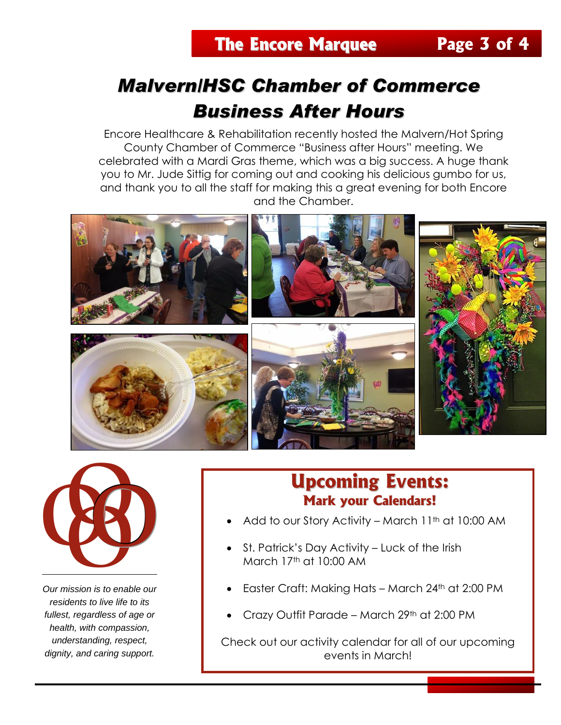# *Malvern/HSC Chamber of Commerce Business After Hours*

Encore Healthcare & Rehabilitation recently hosted the Malvern/Hot Spring County Chamber of Commerce "Business after Hours" meeting. We celebrated with a Mardi Gras theme, which was a big success. A huge thank you to Mr. Jude Sittig for coming out and cooking his delicious gumbo for us, and thank you to all the staff for making this a great evening for both Encore and the Chamber.





*Our mission is to enable our residents to live life to its fullest, regardless of age or health, with compassion, understanding, respect, dignity, and caring support.*

### **Upcoming Events: Mark your Calendars!**

- Add to our Story Activity March  $11<sup>th</sup>$  at 10:00 AM
- St. Patrick's Day Activity Luck of the Irish March 17th at 10:00 AM
- Easter Craft: Making Hats March 24th at 2:00 PM
- Crazy Outfit Parade March 29th at 2:00 PM

Check out our activity calendar for all of our upcoming events in March!